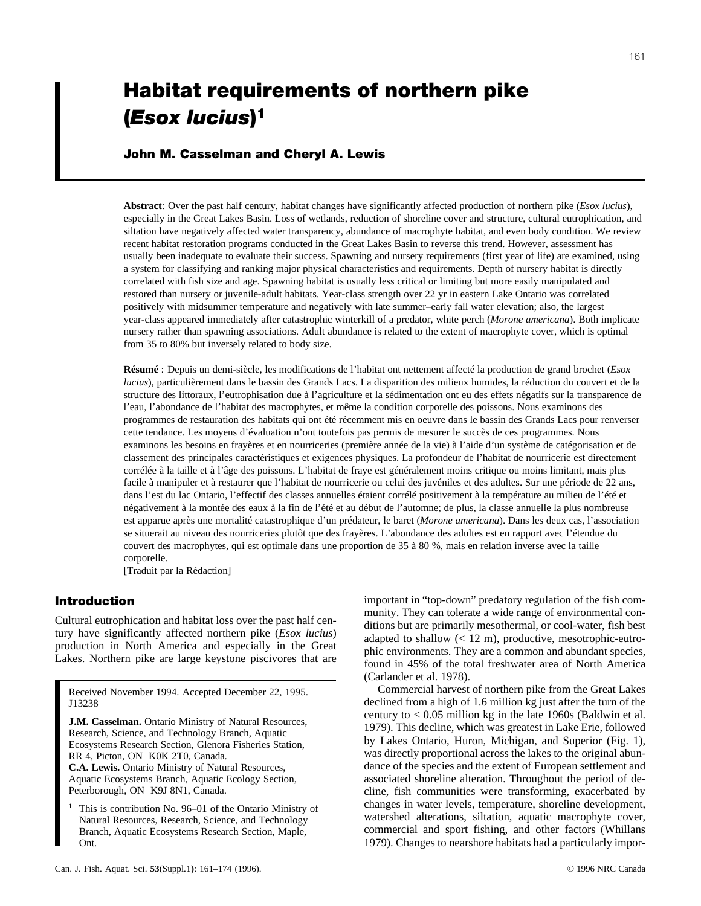# **Habitat requirements of northern pike (***Esox lucius***) 1**

# **John M. Casselman and Cheryl A. Lewis**

**Abstract**: Over the past half century, habitat changes have significantly affected production of northern pike (*Esox lucius*), especially in the Great Lakes Basin. Loss of wetlands, reduction of shoreline cover and structure, cultural eutrophication, and siltation have negatively affected water transparency, abundance of macrophyte habitat, and even body condition. We review recent habitat restoration programs conducted in the Great Lakes Basin to reverse this trend. However, assessment has usually been inadequate to evaluate their success. Spawning and nursery requirements (first year of life) are examined, using a system for classifying and ranking major physical characteristics and requirements. Depth of nursery habitat is directly correlated with fish size and age. Spawning habitat is usually less critical or limiting but more easily manipulated and restored than nursery or juvenile-adult habitats. Year-class strength over 22 yr in eastern Lake Ontario was correlated positively with midsummer temperature and negatively with late summer–early fall water elevation; also, the largest year-class appeared immediately after catastrophic winterkill of a predator, white perch (*Morone americana*). Both implicate nursery rather than spawning associations. Adult abundance is related to the extent of macrophyte cover, which is optimal from 35 to 80% but inversely related to body size.

**Résumé** : Depuis un demi-siècle, les modifications de l'habitat ont nettement affecté la production de grand brochet (*Esox lucius*), particulièrement dans le bassin des Grands Lacs. La disparition des milieux humides, la réduction du couvert et de la structure des littoraux, l'eutrophisation due à l'agriculture et la sédimentation ont eu des effets négatifs sur la transparence de l'eau, l'abondance de l'habitat des macrophytes, et même la condition corporelle des poissons. Nous examinons des programmes de restauration des habitats qui ont été récemment mis en oeuvre dans le bassin des Grands Lacs pour renverser cette tendance. Les moyens d'évaluation n'ont toutefois pas permis de mesurer le succès de ces programmes. Nous examinons les besoins en frayères et en nourriceries (première année de la vie) à l'aide d'un système de catégorisation et de classement des principales caractéristiques et exigences physiques. La profondeur de l'habitat de nourricerie est directement corrélée à la taille et à l'âge des poissons. L'habitat de fraye est généralement moins critique ou moins limitant, mais plus facile à manipuler et à restaurer que l'habitat de nourricerie ou celui des juvéniles et des adultes. Sur une période de 22 ans, dans l'est du lac Ontario, l'effectif des classes annuelles étaient corrélé positivement à la température au milieu de l'été et négativement à la montée des eaux à la fin de l'été et au début de l'automne; de plus, la classe annuelle la plus nombreuse est apparue après une mortalité catastrophique d'un prédateur, le baret (*Morone americana*). Dans les deux cas, l'association se situerait au niveau des nourriceries plutôt que des frayères. L'abondance des adultes est en rapport avec l'étendue du couvert des macrophytes, qui est optimale dans une proportion de 35 à 80 %, mais en relation inverse avec la taille corporelle.

[Traduit par la Rédaction]

# **Introduction**

Cultural eutrophication and habitat loss over the past half century have significantly affected northern pike (*Esox lucius*) production in North America and especially in the Great Lakes. Northern pike are large keystone piscivores that are

Received November 1994. Accepted December 22, 1995. J13238

**J.M. Casselman.** Ontario Ministry of Natural Resources, Research, Science, and Technology Branch, Aquatic Ecosystems Research Section, Glenora Fisheries Station, RR 4, Picton, ON K0K 2T0, Canada.

**C.A. Lewis.** Ontario Ministry of Natural Resources, Aquatic Ecosystems Branch, Aquatic Ecology Section, Peterborough, ON K9J 8N1, Canada.

This is contribution No. 96–01 of the Ontario Ministry of Natural Resources, Research, Science, and Technology Branch, Aquatic Ecosystems Research Section, Maple, Ont.

important in "top-down" predatory regulation of the fish community. They can tolerate a wide range of environmental conditions but are primarily mesothermal, or cool-water, fish best adapted to shallow (< 12 m), productive, mesotrophic-eutrophic environments. They are a common and abundant species, found in 45% of the total freshwater area of North America (Carlander et al. 1978).

Commercial harvest of northern pike from the Great Lakes declined from a high of 1.6 million kg just after the turn of the century to  $< 0.05$  million kg in the late 1960s (Baldwin et al. 1979). This decline, which was greatest in Lake Erie, followed by Lakes Ontario, Huron, Michigan, and Superior (Fig. 1), was directly proportional across the lakes to the original abundance of the species and the extent of European settlement and associated shoreline alteration. Throughout the period of decline, fish communities were transforming, exacerbated by changes in water levels, temperature, shoreline development, watershed alterations, siltation, aquatic macrophyte cover, commercial and sport fishing, and other factors (Whillans 1979). Changes to nearshore habitats had a particularly impor-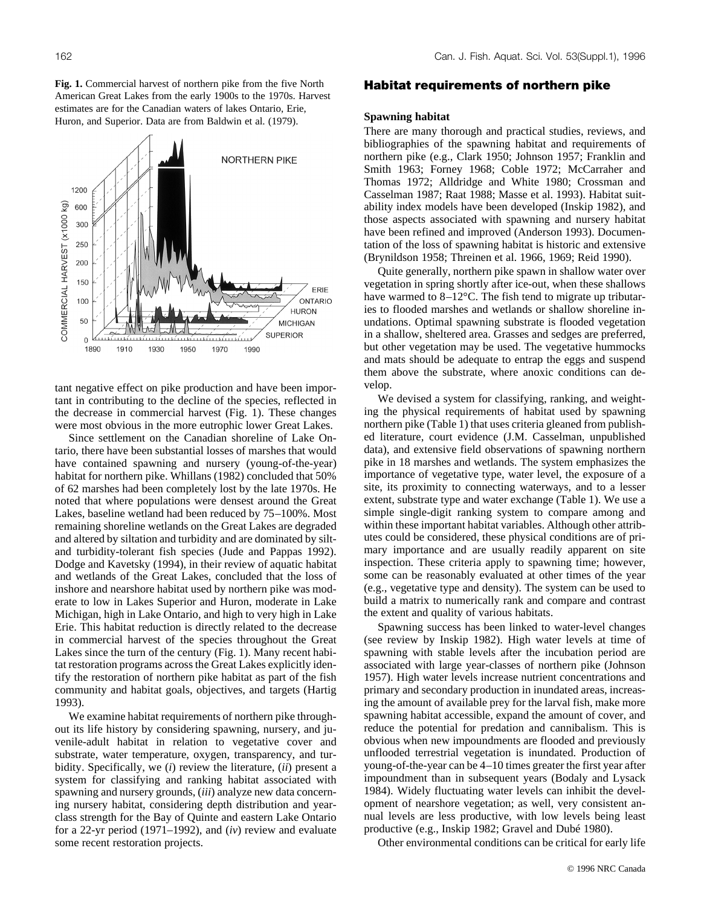**Fig. 1.** Commercial harvest of northern pike from the five North American Great Lakes from the early 1900s to the 1970s. Harvest estimates are for the Canadian waters of lakes Ontario, Erie, Huron, and Superior. Data are from Baldwin et al. (1979).

tant negative effect on pike production and have been important in contributing to the decline of the species, reflected in the decrease in commercial harvest (Fig. 1). These changes were most obvious in the more eutrophic lower Great Lakes.

Since settlement on the Canadian shoreline of Lake Ontario, there have been substantial losses of marshes that would have contained spawning and nursery (young-of-the-year) habitat for northern pike. Whillans (1982) concluded that 50% of 62 marshes had been completely lost by the late 1970s. He noted that where populations were densest around the Great Lakes, baseline wetland had been reduced by 75–100%. Most remaining shoreline wetlands on the Great Lakes are degraded and altered by siltation and turbidity and are dominated by siltand turbidity-tolerant fish species (Jude and Pappas 1992). Dodge and Kavetsky (1994), in their review of aquatic habitat and wetlands of the Great Lakes, concluded that the loss of inshore and nearshore habitat used by northern pike was moderate to low in Lakes Superior and Huron, moderate in Lake Michigan, high in Lake Ontario, and high to very high in Lake Erie. This habitat reduction is directly related to the decrease in commercial harvest of the species throughout the Great Lakes since the turn of the century (Fig. 1). Many recent habitat restoration programs across the Great Lakes explicitly identify the restoration of northern pike habitat as part of the fish community and habitat goals, objectives, and targets (Hartig 1993).

We examine habitat requirements of northern pike throughout its life history by considering spawning, nursery, and juvenile-adult habitat in relation to vegetative cover and substrate, water temperature, oxygen, transparency, and turbidity. Specifically, we (*i*) review the literature, (*ii*) present a system for classifying and ranking habitat associated with spawning and nursery grounds, (*iii*) analyze new data concerning nursery habitat, considering depth distribution and yearclass strength for the Bay of Quinte and eastern Lake Ontario for a 22-yr period (1971–1992), and (*iv*) review and evaluate some recent restoration projects.

## **Habitat requirements of northern pike**

#### **Spawning habitat**

There are many thorough and practical studies, reviews, and bibliographies of the spawning habitat and requirements of northern pike (e.g., Clark 1950; Johnson 1957; Franklin and Smith 1963; Forney 1968; Coble 1972; McCarraher and Thomas 1972; Alldridge and White 1980; Crossman and Casselman 1987; Raat 1988; Masse et al. 1993). Habitat suitability index models have been developed (Inskip 1982), and those aspects associated with spawning and nursery habitat have been refined and improved (Anderson 1993). Documentation of the loss of spawning habitat is historic and extensive (Brynildson 1958; Threinen et al. 1966, 1969; Reid 1990).

Quite generally, northern pike spawn in shallow water over vegetation in spring shortly after ice-out, when these shallows have warmed to 8–12°C. The fish tend to migrate up tributaries to flooded marshes and wetlands or shallow shoreline inundations. Optimal spawning substrate is flooded vegetation in a shallow, sheltered area. Grasses and sedges are preferred, but other vegetation may be used. The vegetative hummocks and mats should be adequate to entrap the eggs and suspend them above the substrate, where anoxic conditions can develop.

We devised a system for classifying, ranking, and weighting the physical requirements of habitat used by spawning northern pike (Table 1) that uses criteria gleaned from published literature, court evidence (J.M. Casselman, unpublished data), and extensive field observations of spawning northern pike in 18 marshes and wetlands. The system emphasizes the importance of vegetative type, water level, the exposure of a site, its proximity to connecting waterways, and to a lesser extent, substrate type and water exchange (Table 1). We use a simple single-digit ranking system to compare among and within these important habitat variables. Although other attributes could be considered, these physical conditions are of primary importance and are usually readily apparent on site inspection. These criteria apply to spawning time; however, some can be reasonably evaluated at other times of the year (e.g., vegetative type and density). The system can be used to build a matrix to numerically rank and compare and contrast the extent and quality of various habitats.

Spawning success has been linked to water-level changes (see review by Inskip 1982). High water levels at time of spawning with stable levels after the incubation period are associated with large year-classes of northern pike (Johnson 1957). High water levels increase nutrient concentrations and primary and secondary production in inundated areas, increasing the amount of available prey for the larval fish, make more spawning habitat accessible, expand the amount of cover, and reduce the potential for predation and cannibalism. This is obvious when new impoundments are flooded and previously unflooded terrestrial vegetation is inundated. Production of young-of-the-year can be 4–10 times greater the first year after impoundment than in subsequent years (Bodaly and Lysack 1984). Widely fluctuating water levels can inhibit the development of nearshore vegetation; as well, very consistent annual levels are less productive, with low levels being least productive (e.g., Inskip 1982; Gravel and Dubé 1980).

Other environmental conditions can be critical for early life

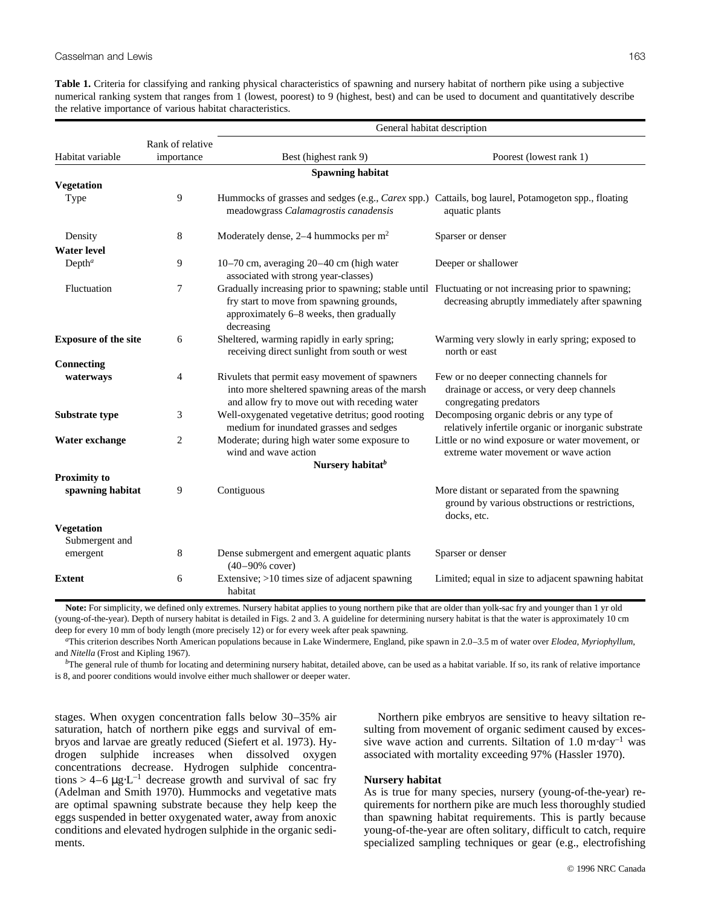**Table 1.** Criteria for classifying and ranking physical characteristics of spawning and nursery habitat of northern pike using a subjective numerical ranking system that ranges from 1 (lowest, poorest) to 9 (highest, best) and can be used to document and quantitatively describe the relative importance of various habitat characteristics.

|                             |                         | General habitat description                                                                                                                                                                                |                                                                                                                 |  |  |  |
|-----------------------------|-------------------------|------------------------------------------------------------------------------------------------------------------------------------------------------------------------------------------------------------|-----------------------------------------------------------------------------------------------------------------|--|--|--|
|                             | Rank of relative        |                                                                                                                                                                                                            |                                                                                                                 |  |  |  |
| Habitat variable            | importance              | Best (highest rank 9)                                                                                                                                                                                      | Poorest (lowest rank 1)                                                                                         |  |  |  |
|                             | <b>Spawning habitat</b> |                                                                                                                                                                                                            |                                                                                                                 |  |  |  |
| <b>Vegetation</b>           |                         |                                                                                                                                                                                                            |                                                                                                                 |  |  |  |
| Type                        | 9                       | Hummocks of grasses and sedges (e.g., Carex spp.) Cattails, bog laurel, Potamogeton spp., floating<br>meadowgrass Calamagrostis canadensis                                                                 | aquatic plants                                                                                                  |  |  |  |
| Density                     | 8                       | Moderately dense, $2-4$ hummocks per m <sup>2</sup>                                                                                                                                                        | Sparser or denser                                                                                               |  |  |  |
| <b>Water level</b>          |                         |                                                                                                                                                                                                            |                                                                                                                 |  |  |  |
| $Depth^a$                   | 9                       | 10-70 cm, averaging 20-40 cm (high water<br>associated with strong year-classes)                                                                                                                           | Deeper or shallower                                                                                             |  |  |  |
| Fluctuation                 | 7                       | Gradually increasing prior to spawning; stable until Fluctuating or not increasing prior to spawning;<br>fry start to move from spawning grounds,<br>approximately 6-8 weeks, then gradually<br>decreasing | decreasing abruptly immediately after spawning                                                                  |  |  |  |
| <b>Exposure of the site</b> | 6                       | Sheltered, warming rapidly in early spring;<br>receiving direct sunlight from south or west                                                                                                                | Warming very slowly in early spring; exposed to<br>north or east                                                |  |  |  |
| Connecting                  |                         |                                                                                                                                                                                                            |                                                                                                                 |  |  |  |
| waterways                   | 4                       | Rivulets that permit easy movement of spawners<br>into more sheltered spawning areas of the marsh<br>and allow fry to move out with receding water                                                         | Few or no deeper connecting channels for<br>drainage or access, or very deep channels<br>congregating predators |  |  |  |
| Substrate type              | 3                       | Well-oxygenated vegetative detritus; good rooting<br>medium for inundated grasses and sedges                                                                                                               | Decomposing organic debris or any type of<br>relatively infertile organic or inorganic substrate                |  |  |  |
| Water exchange              | $\overline{c}$          | Moderate; during high water some exposure to<br>wind and wave action                                                                                                                                       | Little or no wind exposure or water movement, or<br>extreme water movement or wave action                       |  |  |  |
|                             |                         | Nursery habitat <sup>b</sup>                                                                                                                                                                               |                                                                                                                 |  |  |  |
| <b>Proximity to</b>         |                         |                                                                                                                                                                                                            |                                                                                                                 |  |  |  |
| spawning habitat            | 9                       | Contiguous                                                                                                                                                                                                 | More distant or separated from the spawning<br>ground by various obstructions or restrictions,<br>docks, etc.   |  |  |  |
| <b>Vegetation</b>           |                         |                                                                                                                                                                                                            |                                                                                                                 |  |  |  |
| Submergent and              |                         |                                                                                                                                                                                                            |                                                                                                                 |  |  |  |
| emergent                    | 8                       | Dense submergent and emergent aquatic plants<br>$(40 - 90\% \text{ cover})$                                                                                                                                | Sparser or denser                                                                                               |  |  |  |
| <b>Extent</b>               | 6                       | Extensive; $>10$ times size of adjacent spawning<br>habitat                                                                                                                                                | Limited; equal in size to adjacent spawning habitat                                                             |  |  |  |

**Note:** For simplicity, we defined only extremes. Nursery habitat applies to young northern pike that are older than yolk-sac fry and younger than 1 yr old (young-of-the-year). Depth of nursery habitat is detailed in Figs. 2 and 3. A guideline for determining nursery habitat is that the water is approximately 10 cm deep for every 10 mm of body length (more precisely 12) or for every week after peak spawning.

*a* This criterion describes North American populations because in Lake Windermere, England, pike spawn in 2.0–3.5 m of water over *Elodea*, *Myriophyllum*, and *Nitella* (Frost and Kipling 1967).

*b* The general rule of thumb for locating and determining nursery habitat, detailed above, can be used as a habitat variable. If so, its rank of relative importance is 8, and poorer conditions would involve either much shallower or deeper water.

stages. When oxygen concentration falls below 30–35% air saturation, hatch of northern pike eggs and survival of embryos and larvae are greatly reduced (Siefert et al. 1973). Hydrogen sulphide increases when dissolved oxygen concentrations decrease. Hydrogen sulphide concentrations > 4–6  $\mu$ g⋅L<sup>-1</sup> decrease growth and survival of sac fry (Adelman and Smith 1970). Hummocks and vegetative mats are optimal spawning substrate because they help keep the eggs suspended in better oxygenated water, away from anoxic conditions and elevated hydrogen sulphide in the organic sediments.

Northern pike embryos are sensitive to heavy siltation resulting from movement of organic sediment caused by excessive wave action and currents. Siltation of 1.0 m⋅day<sup>-1</sup> was associated with mortality exceeding 97% (Hassler 1970).

## **Nursery habitat**

As is true for many species, nursery (young-of-the-year) requirements for northern pike are much less thoroughly studied than spawning habitat requirements. This is partly because young-of-the-year are often solitary, difficult to catch, require specialized sampling techniques or gear (e.g., electrofishing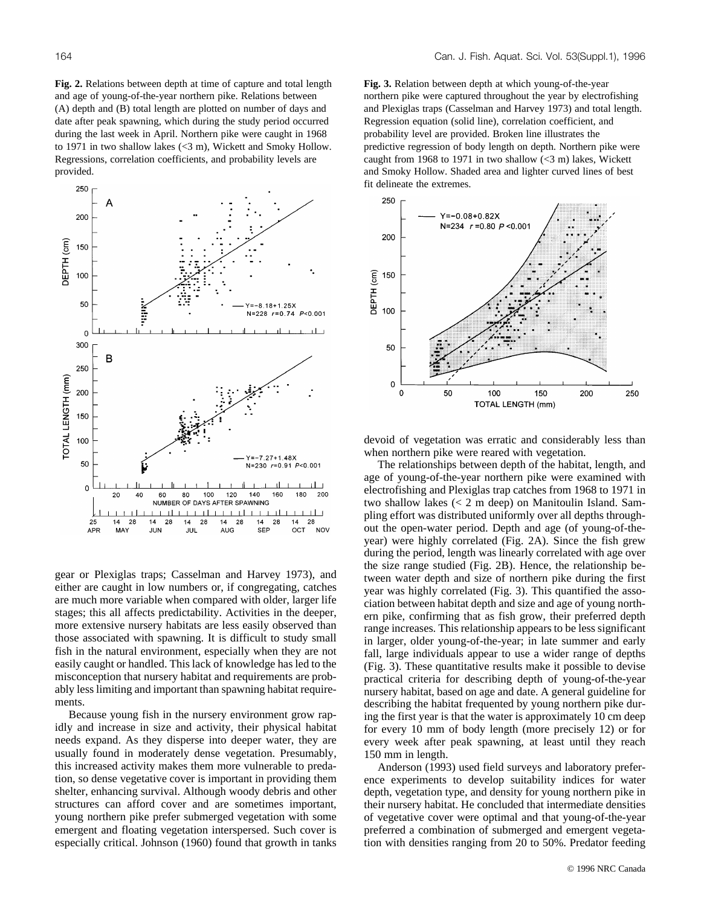**Fig. 2.** Relations between depth at time of capture and total length and age of young-of-the-year northern pike. Relations between (A) depth and (B) total length are plotted on number of days and date after peak spawning, which during the study period occurred during the last week in April. Northern pike were caught in 1968 to 1971 in two shallow lakes (<3 m), Wickett and Smoky Hollow. Regressions, correlation coefficients, and probability levels are provided.



gear or Plexiglas traps; Casselman and Harvey 1973), and either are caught in low numbers or, if congregating, catches are much more variable when compared with older, larger life stages; this all affects predictability. Activities in the deeper, more extensive nursery habitats are less easily observed than those associated with spawning. It is difficult to study small fish in the natural environment, especially when they are not easily caught or handled. This lack of knowledge has led to the misconception that nursery habitat and requirements are probably less limiting and important than spawning habitat requirements.

Because young fish in the nursery environment grow rapidly and increase in size and activity, their physical habitat needs expand. As they disperse into deeper water, they are usually found in moderately dense vegetation. Presumably, this increased activity makes them more vulnerable to predation, so dense vegetative cover is important in providing them shelter, enhancing survival. Although woody debris and other structures can afford cover and are sometimes important, young northern pike prefer submerged vegetation with some emergent and floating vegetation interspersed. Such cover is especially critical. Johnson (1960) found that growth in tanks

**Fig. 3.** Relation between depth at which young-of-the-year northern pike were captured throughout the year by electrofishing and Plexiglas traps (Casselman and Harvey 1973) and total length. Regression equation (solid line), correlation coefficient, and probability level are provided. Broken line illustrates the predictive regression of body length on depth. Northern pike were caught from 1968 to 1971 in two shallow  $\langle$ <3 m) lakes, Wickett and Smoky Hollow. Shaded area and lighter curved lines of best fit delineate the extremes.



devoid of vegetation was erratic and considerably less than when northern pike were reared with vegetation.

The relationships between depth of the habitat, length, and age of young-of-the-year northern pike were examined with electrofishing and Plexiglas trap catches from 1968 to 1971 in two shallow lakes (< 2 m deep) on Manitoulin Island. Sampling effort was distributed uniformly over all depths throughout the open-water period. Depth and age (of young-of-theyear) were highly correlated (Fig. 2A). Since the fish grew during the period, length was linearly correlated with age over the size range studied (Fig. 2B). Hence, the relationship between water depth and size of northern pike during the first year was highly correlated (Fig. 3). This quantified the association between habitat depth and size and age of young northern pike, confirming that as fish grow, their preferred depth range increases. This relationship appears to be less significant in larger, older young-of-the-year; in late summer and early fall, large individuals appear to use a wider range of depths (Fig. 3). These quantitative results make it possible to devise practical criteria for describing depth of young-of-the-year nursery habitat, based on age and date. A general guideline for describing the habitat frequented by young northern pike during the first year is that the water is approximately 10 cm deep for every 10 mm of body length (more precisely 12) or for every week after peak spawning, at least until they reach 150 mm in length.

Anderson (1993) used field surveys and laboratory preference experiments to develop suitability indices for water depth, vegetation type, and density for young northern pike in their nursery habitat. He concluded that intermediate densities of vegetative cover were optimal and that young-of-the-year preferred a combination of submerged and emergent vegetation with densities ranging from 20 to 50%. Predator feeding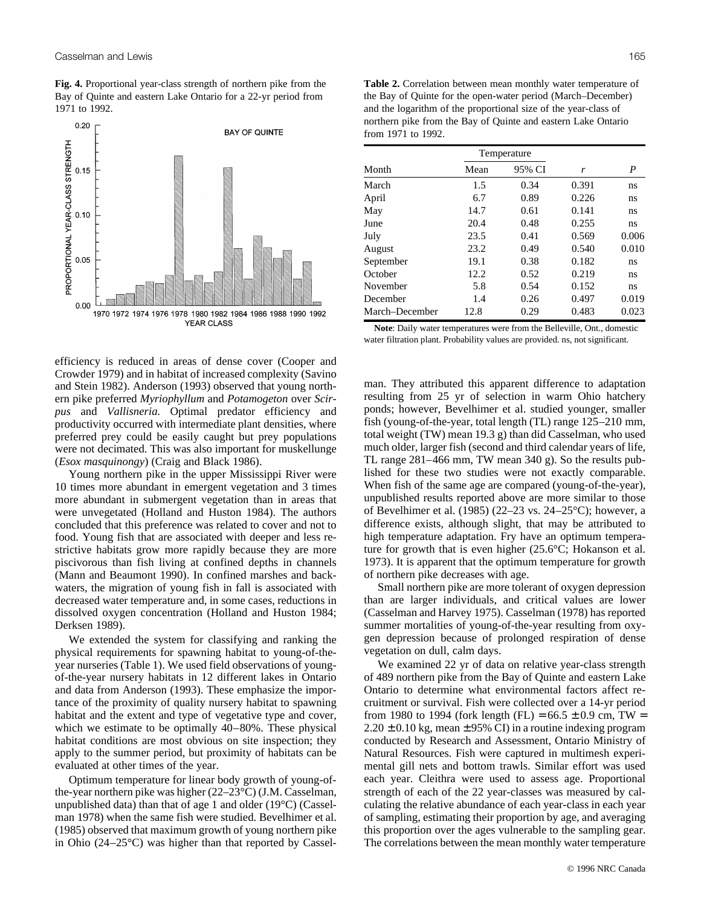**Fig. 4.** Proportional year-class strength of northern pike from the Bay of Quinte and eastern Lake Ontario for a 22-yr period from 1971 to 1992.



efficiency is reduced in areas of dense cover (Cooper and Crowder 1979) and in habitat of increased complexity (Savino and Stein 1982). Anderson (1993) observed that young northern pike preferred *Myriophyllum* and *Potamogeton* over *Scirpus* and *Vallisneria*. Optimal predator efficiency and productivity occurred with intermediate plant densities, where preferred prey could be easily caught but prey populations were not decimated. This was also important for muskellunge (*Esox masquinongy*) (Craig and Black 1986).

Young northern pike in the upper Mississippi River were 10 times more abundant in emergent vegetation and 3 times more abundant in submergent vegetation than in areas that were unvegetated (Holland and Huston 1984). The authors concluded that this preference was related to cover and not to food. Young fish that are associated with deeper and less restrictive habitats grow more rapidly because they are more piscivorous than fish living at confined depths in channels (Mann and Beaumont 1990). In confined marshes and backwaters, the migration of young fish in fall is associated with decreased water temperature and, in some cases, reductions in dissolved oxygen concentration (Holland and Huston 1984; Derksen 1989).

We extended the system for classifying and ranking the physical requirements for spawning habitat to young-of-theyear nurseries (Table 1). We used field observations of youngof-the-year nursery habitats in 12 different lakes in Ontario and data from Anderson (1993). These emphasize the importance of the proximity of quality nursery habitat to spawning habitat and the extent and type of vegetative type and cover, which we estimate to be optimally 40–80%. These physical habitat conditions are most obvious on site inspection; they apply to the summer period, but proximity of habitats can be evaluated at other times of the year.

Optimum temperature for linear body growth of young-ofthe-year northern pike was higher (22–23°C) (J.M. Casselman, unpublished data) than that of age 1 and older (19°C) (Casselman 1978) when the same fish were studied. Bevelhimer et al. (1985) observed that maximum growth of young northern pike in Ohio (24–25°C) was higher than that reported by Cassel-

**Table 2.** Correlation between mean monthly water temperature of the Bay of Quinte for the open-water period (March–December) and the logarithm of the proportional size of the year-class of northern pike from the Bay of Quinte and eastern Lake Ontario from 1971 to 1992.

| Temperature    |      |        |       |       |  |  |
|----------------|------|--------|-------|-------|--|--|
| Month          | Mean | 95% CI | r     | P     |  |  |
| March          | 1.5  | 0.34   | 0.391 | ns    |  |  |
| April          | 6.7  | 0.89   | 0.226 | ns    |  |  |
| May            | 14.7 | 0.61   | 0.141 | ns    |  |  |
| June           | 20.4 | 0.48   | 0.255 | ns    |  |  |
| July           | 23.5 | 0.41   | 0.569 | 0.006 |  |  |
| August         | 23.2 | 0.49   | 0.540 | 0.010 |  |  |
| September      | 19.1 | 0.38   | 0.182 | ns    |  |  |
| October        | 12.2 | 0.52   | 0.219 | ns    |  |  |
| November       | 5.8  | 0.54   | 0.152 | ns    |  |  |
| December       | 1.4  | 0.26   | 0.497 | 0.019 |  |  |
| March–December | 12.8 | 0.29   | 0.483 | 0.023 |  |  |

**Note**: Daily water temperatures were from the Belleville, Ont., domestic water filtration plant. Probability values are provided. ns, not significant.

man. They attributed this apparent difference to adaptation resulting from 25 yr of selection in warm Ohio hatchery ponds; however, Bevelhimer et al. studied younger, smaller fish (young-of-the-year, total length (TL) range 125–210 mm, total weight (TW) mean 19.3 g) than did Casselman, who used much older, larger fish (second and third calendar years of life, TL range 281–466 mm, TW mean 340 g). So the results published for these two studies were not exactly comparable. When fish of the same age are compared (young-of-the-year), unpublished results reported above are more similar to those of Bevelhimer et al. (1985) (22–23 vs. 24–25 $^{\circ}$ C); however, a difference exists, although slight, that may be attributed to high temperature adaptation. Fry have an optimum temperature for growth that is even higher (25.6°C; Hokanson et al. 1973). It is apparent that the optimum temperature for growth of northern pike decreases with age.

Small northern pike are more tolerant of oxygen depression than are larger individuals, and critical values are lower (Casselman and Harvey 1975). Casselman (1978) has reported summer mortalities of young-of-the-year resulting from oxygen depression because of prolonged respiration of dense vegetation on dull, calm days.

We examined 22 yr of data on relative year-class strength of 489 northern pike from the Bay of Quinte and eastern Lake Ontario to determine what environmental factors affect recruitment or survival. Fish were collected over a 14-yr period from 1980 to 1994 (fork length (FL) =  $66.5 \pm 0.9$  cm, TW =  $2.20 \pm 0.10$  kg, mean  $\pm 95$ % CI) in a routine indexing program conducted by Research and Assessment, Ontario Ministry of Natural Resources. Fish were captured in multimesh experimental gill nets and bottom trawls. Similar effort was used each year. Cleithra were used to assess age. Proportional strength of each of the 22 year-classes was measured by calculating the relative abundance of each year-class in each year of sampling, estimating their proportion by age, and averaging this proportion over the ages vulnerable to the sampling gear. The correlations between the mean monthly water temperature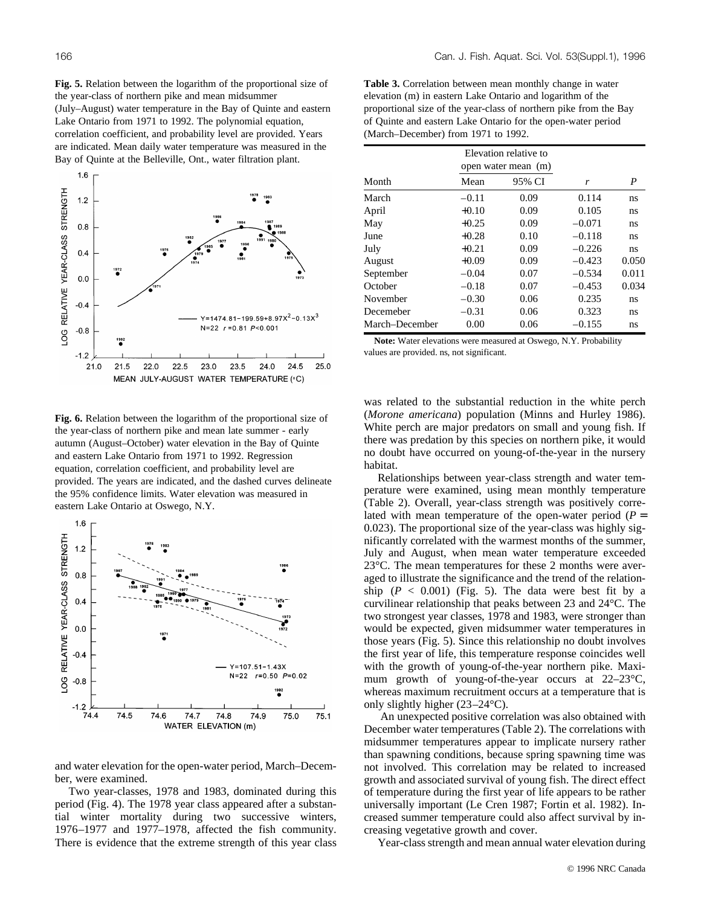**Fig. 5.** Relation between the logarithm of the proportional size of the year-class of northern pike and mean midsummer (July–August) water temperature in the Bay of Quinte and eastern Lake Ontario from 1971 to 1992. The polynomial equation, correlation coefficient, and probability level are provided. Years are indicated. Mean daily water temperature was measured in the Bay of Quinte at the Belleville, Ont., water filtration plant.



**Fig. 6.** Relation between the logarithm of the proportional size of the year-class of northern pike and mean late summer - early autumn (August–October) water elevation in the Bay of Quinte and eastern Lake Ontario from 1971 to 1992. Regression equation, correlation coefficient, and probability level are provided. The years are indicated, and the dashed curves delineate the 95% confidence limits. Water elevation was measured in eastern Lake Ontario at Oswego, N.Y.



and water elevation for the open-water period, March–December, were examined.

Two year-classes, 1978 and 1983, dominated during this period (Fig. 4). The 1978 year class appeared after a substantial winter mortality during two successive winters, 1976–1977 and 1977–1978, affected the fish community. There is evidence that the extreme strength of this year class

**Table 3.** Correlation between mean monthly change in water elevation (m) in eastern Lake Ontario and logarithm of the proportional size of the year-class of northern pike from the Bay of Quinte and eastern Lake Ontario for the open-water period (March–December) from 1971 to 1992.

|                | Elevation relative to<br>open water mean (m) |        |          |       |  |
|----------------|----------------------------------------------|--------|----------|-------|--|
| Month          | Mean                                         | 95% CI | r        | P     |  |
| March          | $-0.11$                                      | 0.09   | 0.114    | ns    |  |
| April          | $+0.10$                                      | 0.09   | 0.105    | ns    |  |
| May            | $+0.25$                                      | 0.09   | $-0.071$ | ns    |  |
| June           | $+0.28$                                      | 0.10   | $-0.118$ | ns    |  |
| July           | $+0.21$                                      | 0.09   | $-0.226$ | ns    |  |
| August         | $+0.09$                                      | 0.09   | $-0.423$ | 0.050 |  |
| September      | $-0.04$                                      | 0.07   | $-0.534$ | 0.011 |  |
| October        | $-0.18$                                      | 0.07   | $-0.453$ | 0.034 |  |
| November       | $-0.30$                                      | 0.06   | 0.235    | ns    |  |
| Decemeber      | $-0.31$                                      | 0.06   | 0.323    | ns    |  |
| March-December | 0.00                                         | 0.06   | $-0.155$ | ns    |  |

**Note:** Water elevations were measured at Oswego, N.Y. Probability values are provided. ns, not significant.

was related to the substantial reduction in the white perch (*Morone americana*) population (Minns and Hurley 1986). White perch are major predators on small and young fish. If there was predation by this species on northern pike, it would no doubt have occurred on young-of-the-year in the nursery habitat.

Relationships between year-class strength and water temperature were examined, using mean monthly temperature (Table 2). Overall, year-class strength was positively correlated with mean temperature of the open-water period  $(P =$ 0.023). The proportional size of the year-class was highly significantly correlated with the warmest months of the summer, July and August, when mean water temperature exceeded 23°C. The mean temperatures for these 2 months were averaged to illustrate the significance and the trend of the relationship  $(P < 0.001)$  (Fig. 5). The data were best fit by a curvilinear relationship that peaks between 23 and 24°C. The two strongest year classes, 1978 and 1983, were stronger than would be expected, given midsummer water temperatures in those years (Fig. 5). Since this relationship no doubt involves the first year of life, this temperature response coincides well with the growth of young-of-the-year northern pike. Maximum growth of young-of-the-year occurs at 22–23 °C, whereas maximum recruitment occurs at a temperature that is only slightly higher (23–24°C).

An unexpected positive correlation was also obtained with December water temperatures (Table 2). The correlations with midsummer temperatures appear to implicate nursery rather than spawning conditions, because spring spawning time was not involved. This correlation may be related to increased growth and associated survival of young fish. The direct effect of temperature during the first year of life appears to be rather universally important (Le Cren 1987; Fortin et al. 1982). Increased summer temperature could also affect survival by increasing vegetative growth and cover.

Year-class strength and mean annual water elevation during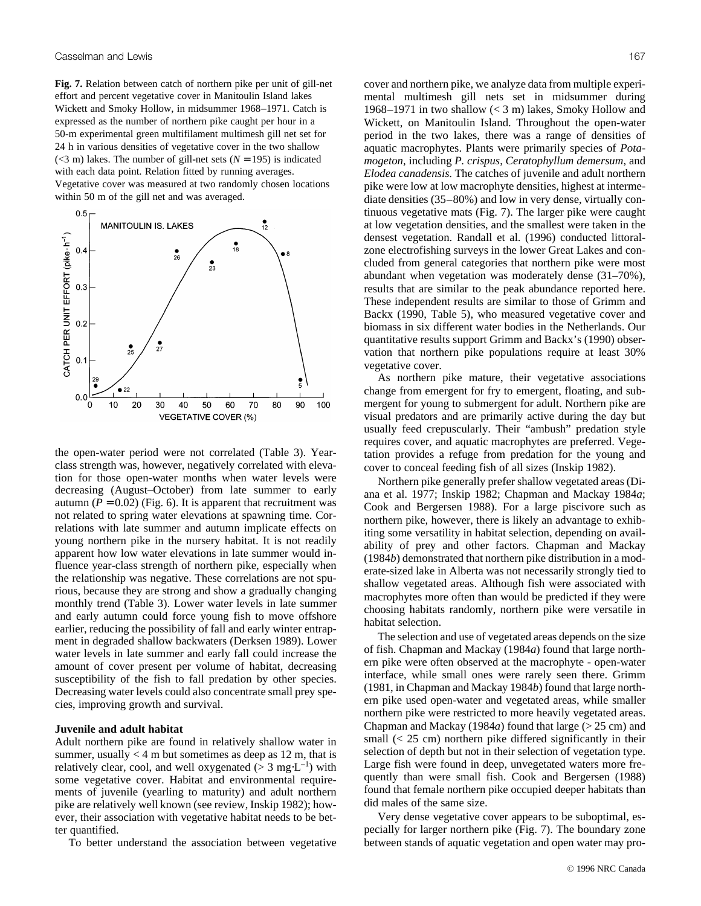**Fig. 7.** Relation between catch of northern pike per unit of gill-net effort and percent vegetative cover in Manitoulin Island lakes Wickett and Smoky Hollow, in midsummer 1968–1971. Catch is expressed as the number of northern pike caught per hour in a 50-m experimental green multifilament multimesh gill net set for 24 h in various densities of vegetative cover in the two shallow  $(<$ 3 m) lakes. The number of gill-net sets ( $N = 195$ ) is indicated with each data point. Relation fitted by running averages. Vegetative cover was measured at two randomly chosen locations within 50 m of the gill net and was averaged.



the open-water period were not correlated (Table 3). Yearclass strength was, however, negatively correlated with elevation for those open-water months when water levels were decreasing (August–October) from late summer to early autumn  $(P = 0.02)$  (Fig. 6). It is apparent that recruitment was not related to spring water elevations at spawning time. Correlations with late summer and autumn implicate effects on young northern pike in the nursery habitat. It is not readily apparent how low water elevations in late summer would influence year-class strength of northern pike, especially when the relationship was negative. These correlations are not spurious, because they are strong and show a gradually changing monthly trend (Table 3). Lower water levels in late summer and early autumn could force young fish to move offshore earlier, reducing the possibility of fall and early winter entrapment in degraded shallow backwaters (Derksen 1989). Lower water levels in late summer and early fall could increase the amount of cover present per volume of habitat, decreasing susceptibility of the fish to fall predation by other species. Decreasing water levels could also concentrate small prey species, improving growth and survival.

#### **Juvenile and adult habitat**

Adult northern pike are found in relatively shallow water in summer, usually  $<$  4 m but sometimes as deep as 12 m, that is relatively clear, cool, and well oxygenated ( $> 3$  mg⋅L<sup>-1</sup>) with some vegetative cover. Habitat and environmental requirements of juvenile (yearling to maturity) and adult northern pike are relatively well known (see review, Inskip 1982); however, their association with vegetative habitat needs to be better quantified.

To better understand the association between vegetative

cover and northern pike, we analyze data from multiple experimental multimesh gill nets set in midsummer during 1968–1971 in two shallow (< 3 m) lakes, Smoky Hollow and Wickett, on Manitoulin Island. Throughout the open-water period in the two lakes, there was a range of densities of aquatic macrophytes. Plants were primarily species of *Potamogeton*, including *P. crispus*, *Ceratophyllum demersum*, and *Elodea canadensis*. The catches of juvenile and adult northern pike were low at low macrophyte densities, highest at intermediate densities (35–80%) and low in very dense, virtually continuous vegetative mats (Fig. 7). The larger pike were caught at low vegetation densities, and the smallest were taken in the densest vegetation. Randall et al. (1996) conducted littoralzone electrofishing surveys in the lower Great Lakes and concluded from general categories that northern pike were most abundant when vegetation was moderately dense (31–70%), results that are similar to the peak abundance reported here. These independent results are similar to those of Grimm and Backx (1990, Table 5), who measured vegetative cover and biomass in six different water bodies in the Netherlands. Our quantitative results support Grimm and Backx's (1990) observation that northern pike populations require at least 30% vegetative cover.

As northern pike mature, their vegetative associations change from emergent for fry to emergent, floating, and submergent for young to submergent for adult. Northern pike are visual predators and are primarily active during the day but usually feed crepuscularly. Their "ambush" predation style requires cover, and aquatic macrophytes are preferred. Vegetation provides a refuge from predation for the young and cover to conceal feeding fish of all sizes (Inskip 1982).

Northern pike generally prefer shallow vegetated areas (Diana et al. 1977; Inskip 1982; Chapman and Mackay 1984*a*; Cook and Bergersen 1988). For a large piscivore such as northern pike, however, there is likely an advantage to exhibiting some versatility in habitat selection, depending on availability of prey and other factors. Chapman and Mackay (1984*b*) demonstrated that northern pike distribution in a moderate-sized lake in Alberta was not necessarily strongly tied to shallow vegetated areas. Although fish were associated with macrophytes more often than would be predicted if they were choosing habitats randomly, northern pike were versatile in habitat selection.

The selection and use of vegetated areas depends on the size of fish. Chapman and Mackay (1984*a*) found that large northern pike were often observed at the macrophyte - open-water interface, while small ones were rarely seen there. Grimm (1981, in Chapman and Mackay 1984*b*) found that large northern pike used open-water and vegetated areas, while smaller northern pike were restricted to more heavily vegetated areas. Chapman and Mackay (1984*a*) found that large (> 25 cm) and small (< 25 cm) northern pike differed significantly in their selection of depth but not in their selection of vegetation type. Large fish were found in deep, unvegetated waters more frequently than were small fish. Cook and Bergersen (1988) found that female northern pike occupied deeper habitats than did males of the same size.

Very dense vegetative cover appears to be suboptimal, especially for larger northern pike (Fig. 7). The boundary zone between stands of aquatic vegetation and open water may pro-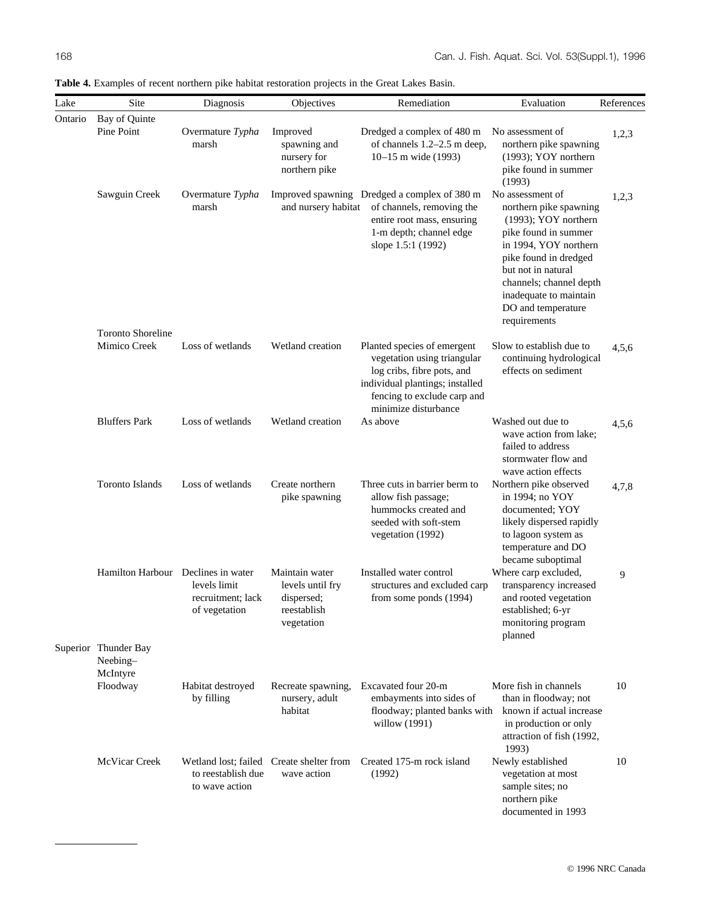| Lake    | Site                                         | Diagnosis                                          | Objectives                                                                    | Remediation                                                                                                                                                                        | Evaluation                                                                                                                                                                                                                                                    | References |
|---------|----------------------------------------------|----------------------------------------------------|-------------------------------------------------------------------------------|------------------------------------------------------------------------------------------------------------------------------------------------------------------------------------|---------------------------------------------------------------------------------------------------------------------------------------------------------------------------------------------------------------------------------------------------------------|------------|
| Ontario | Bay of Quinte<br>Pine Point                  | Overmature Typha<br>marsh                          | Improved<br>spawning and<br>nursery for<br>northern pike                      | Dredged a complex of 480 m<br>of channels 1.2-2.5 m deep,<br>10-15 m wide (1993)                                                                                                   | No assessment of<br>northern pike spawning<br>(1993); YOY northern<br>pike found in summer<br>(1993)                                                                                                                                                          | 1,2,3      |
|         | Sawguin Creek                                | Overmature Typha<br>marsh                          | and nursery habitat                                                           | Improved spawning Dredged a complex of 380 m<br>of channels, removing the<br>entire root mass, ensuring<br>1-m depth; channel edge<br>slope 1.5:1 (1992)                           | No assessment of<br>northern pike spawning<br>(1993); YOY northern<br>pike found in summer<br>in 1994, YOY northern<br>pike found in dredged<br>but not in natural<br>channels; channel depth<br>inadequate to maintain<br>DO and temperature<br>requirements | 1,2,3      |
|         | <b>Toronto Shoreline</b><br>Mimico Creek     | Loss of wetlands                                   | Wetland creation                                                              | Planted species of emergent<br>vegetation using triangular<br>log cribs, fibre pots, and<br>individual plantings; installed<br>fencing to exclude carp and<br>minimize disturbance | Slow to establish due to<br>continuing hydrological<br>effects on sediment                                                                                                                                                                                    | 4,5,6      |
|         | <b>Bluffers Park</b>                         | Loss of wetlands                                   | Wetland creation                                                              | As above                                                                                                                                                                           | Washed out due to<br>wave action from lake;<br>failed to address<br>stormwater flow and<br>wave action effects                                                                                                                                                | 4,5,6      |
|         | <b>Toronto Islands</b>                       | Loss of wetlands                                   | Create northern<br>pike spawning                                              | Three cuts in barrier berm to<br>allow fish passage;<br>hummocks created and<br>seeded with soft-stem<br>vegetation (1992)                                                         | Northern pike observed<br>in 1994; no YOY<br>documented; YOY<br>likely dispersed rapidly<br>to lagoon system as<br>temperature and DO<br>became suboptimal                                                                                                    | 4,7,8      |
|         | Hamilton Harbour Declines in water           | levels limit<br>recruitment; lack<br>of vegetation | Maintain water<br>levels until fry<br>dispersed;<br>reestablish<br>vegetation | Installed water control<br>structures and excluded carp<br>from some ponds (1994)                                                                                                  | Where carp excluded,<br>transparency increased<br>and rooted vegetation<br>established; 6-yr<br>monitoring program<br>planned                                                                                                                                 | 9          |
|         | Superior Thunder Bay<br>Neebing-<br>McIntyre |                                                    |                                                                               |                                                                                                                                                                                    |                                                                                                                                                                                                                                                               |            |
|         | Floodway                                     | Habitat destroyed<br>by filling                    | Recreate spawning,<br>nursery, adult<br>habitat                               | Excavated four 20-m<br>embayments into sides of<br>floodway; planted banks with<br>willow (1991)                                                                                   | More fish in channels<br>than in floodway; not<br>known if actual increase<br>in production or only<br>attraction of fish (1992,<br>1993)                                                                                                                     | 10         |
|         | McVicar Creek                                | to reestablish due<br>to wave action               | Wetland lost; failed Create shelter from<br>wave action                       | Created 175-m rock island<br>(1992)                                                                                                                                                | Newly established<br>vegetation at most<br>sample sites; no<br>northern pike<br>documented in 1993                                                                                                                                                            | 10         |

**Table 4.** Examples of recent northern pike habitat restoration projects in the Great Lakes Basin.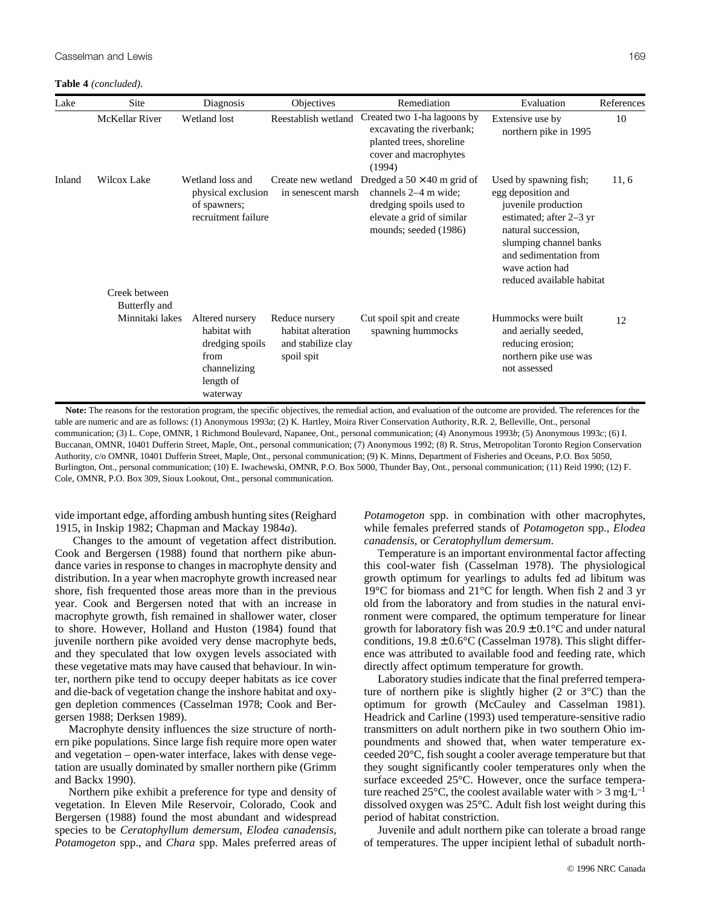**Table 4** *(concluded).*

| Lake   | Site                             | Diagnosis                                                                                           | <b>Objectives</b>                                                        | Remediation                                                                                                                                   | Evaluation                                                                                                                                                                                                                | References |
|--------|----------------------------------|-----------------------------------------------------------------------------------------------------|--------------------------------------------------------------------------|-----------------------------------------------------------------------------------------------------------------------------------------------|---------------------------------------------------------------------------------------------------------------------------------------------------------------------------------------------------------------------------|------------|
|        | <b>McKellar River</b>            | Wetland lost                                                                                        | Reestablish wetland                                                      | Created two 1-ha lagoons by<br>excavating the riverbank;<br>planted trees, shoreline<br>cover and macrophytes<br>(1994)                       | Extensive use by<br>northern pike in 1995                                                                                                                                                                                 | 10         |
| Inland | Wilcox Lake<br>Creek between     | Wetland loss and<br>physical exclusion<br>of spawners;<br>recruitment failure                       | Create new wetland<br>in senescent marsh                                 | Dredged a $50 \times 40$ m grid of<br>channels $2-4$ m wide;<br>dredging spoils used to<br>elevate a grid of similar<br>mounds; seeded (1986) | Used by spawning fish;<br>egg deposition and<br>juvenile production<br>estimated; after 2–3 yr<br>natural succession,<br>slumping channel banks<br>and sedimentation from<br>wave action had<br>reduced available habitat | 11, 6      |
|        | Butterfly and<br>Minnitaki lakes | Altered nursery<br>habitat with<br>dredging spoils<br>from<br>channelizing<br>length of<br>waterway | Reduce nursery<br>habitat alteration<br>and stabilize clay<br>spoil spit | Cut spoil spit and create<br>spawning hummocks                                                                                                | Hummocks were built<br>and aerially seeded,<br>reducing erosion;<br>northern pike use was<br>not assessed                                                                                                                 | 12         |

**Note:** The reasons for the restoration program, the specific objectives, the remedial action, and evaluation of the outcome are provided. The references for the table are numeric and are as follows: (1) Anonymous 1993*a*; (2) K. Hartley, Moira River Conservation Authority, R.R. 2, Belleville, Ont., personal communication; (3) L. Cope, OMNR, 1 Richmond Boulevard, Napanee, Ont., personal communication; (4) Anonymous 1993*b*; (5) Anonymous 1993*c*; (6) I. Buccanan, OMNR, 10401 Dufferin Street, Maple, Ont., personal communication; (7) Anonymous 1992; (8) R. Strus, Metropolitan Toronto Region Conservation Authority, c/o OMNR, 10401 Dufferin Street, Maple, Ont., personal communication; (9) K. Minns, Department of Fisheries and Oceans, P.O. Box 5050, Burlington, Ont., personal communication; (10) E. Iwachewski, OMNR, P.O. Box 5000, Thunder Bay, Ont., personal communication; (11) Reid 1990; (12) F. Cole, OMNR, P.O. Box 309, Sioux Lookout, Ont., personal communication.

vide important edge, affording ambush hunting sites (Reighard 1915, in Inskip 1982; Chapman and Mackay 1984*a*).

Changes to the amount of vegetation affect distribution. Cook and Bergersen (1988) found that northern pike abundance varies in response to changes in macrophyte density and distribution. In a year when macrophyte growth increased near shore, fish frequented those areas more than in the previous year. Cook and Bergersen noted that with an increase in macrophyte growth, fish remained in shallower water, closer to shore. However, Holland and Huston (1984) found that juvenile northern pike avoided very dense macrophyte beds, and they speculated that low oxygen levels associated with these vegetative mats may have caused that behaviour. In winter, northern pike tend to occupy deeper habitats as ice cover and die-back of vegetation change the inshore habitat and oxygen depletion commences (Casselman 1978; Cook and Bergersen 1988; Derksen 1989).

Macrophyte density influences the size structure of northern pike populations. Since large fish require more open water and vegetation – open-water interface, lakes with dense vegetation are usually dominated by smaller northern pike (Grimm and Backx 1990).

Northern pike exhibit a preference for type and density of vegetation. In Eleven Mile Reservoir, Colorado, Cook and Bergersen (1988) found the most abundant and widespread species to be *Ceratophyllum demersum*, *Elodea canadensis*, *Potamogeton* spp., and *Chara* spp. Males preferred areas of *Potamogeton* spp. in combination with other macrophytes, while females preferred stands of *Potamogeton* spp., *Elodea canadensis*, or *Ceratophyllum demersum*.

Temperature is an important environmental factor affecting this cool-water fish (Casselman 1978). The physiological growth optimum for yearlings to adults fed ad libitum was 19°C for biomass and 21°C for length. When fish 2 and 3 yr old from the laboratory and from studies in the natural environment were compared, the optimum temperature for linear growth for laboratory fish was  $20.9 \pm 0.1^{\circ}$ C and under natural conditions,  $19.8 \pm 0.6$ °C (Casselman 1978). This slight difference was attributed to available food and feeding rate, which directly affect optimum temperature for growth.

Laboratory studies indicate that the final preferred temperature of northern pike is slightly higher (2 or 3°C) than the optimum for growth (McCauley and Casselman 1981). Headrick and Carline (1993) used temperature-sensitive radio transmitters on adult northern pike in two southern Ohio impoundments and showed that, when water temperature exceeded 20°C, fish sought a cooler average temperature but that they sought significantly cooler temperatures only when the surface exceeded 25°C. However, once the surface temperature reached 25°C, the coolest available water with > 3 mg⋅L<sup>-1</sup> dissolved oxygen was 25°C. Adult fish lost weight during this period of habitat constriction.

Juvenile and adult northern pike can tolerate a broad range of temperatures. The upper incipient lethal of subadult north-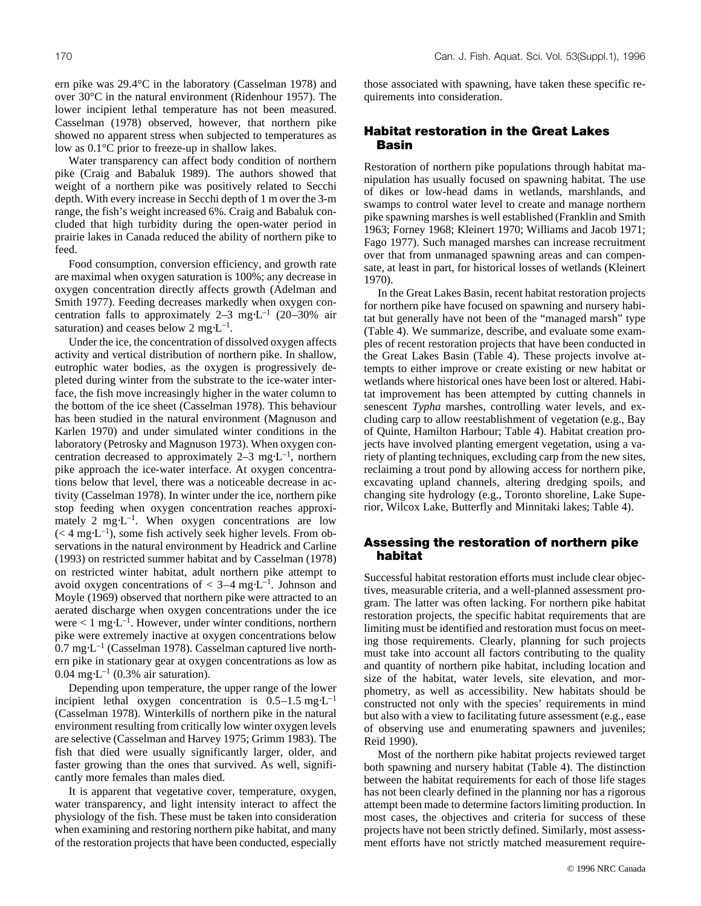Water transparency can affect body condition of northern pike (Craig and Babaluk 1989). The authors showed that weight of a northern pike was positively related to Secchi depth. With every increase in Secchi depth of 1 m over the 3-m range, the fish's weight increased 6%. Craig and Babaluk concluded that high turbidity during the open-water period in prairie lakes in Canada reduced the ability of northern pike to feed.

Food consumption, conversion efficiency, and growth rate are maximal when oxygen saturation is 100%; any decrease in oxygen concentration directly affects growth (Adelman and Smith 1977). Feeding decreases markedly when oxygen concentration falls to approximately 2–3 mg⋅L<sup>-1</sup> (20–30% air saturation) and ceases below 2 mg⋅L<sup>-1</sup>.

Under the ice, the concentration of dissolved oxygen affects activity and vertical distribution of northern pike. In shallow, eutrophic water bodies, as the oxygen is progressively depleted during winter from the substrate to the ice-water interface, the fish move increasingly higher in the water column to the bottom of the ice sheet (Casselman 1978). This behaviour has been studied in the natural environment (Magnuson and Karlen 1970) and under simulated winter conditions in the laboratory (Petrosky and Magnuson 1973). When oxygen concentration decreased to approximately 2–3 mg⋅L<sup>-1</sup>, northern pike approach the ice-water interface. At oxygen concentrations below that level, there was a noticeable decrease in activity (Casselman 1978). In winter under the ice, northern pike stop feeding when oxygen concentration reaches approximately 2 mg⋅L<sup>-1</sup>. When oxygen concentrations are low  $(< 4$  mg⋅L<sup>-1</sup>), some fish actively seek higher levels. From observations in the natural environment by Headrick and Carline (1993) on restricted summer habitat and by Casselman (1978) on restricted winter habitat, adult northern pike attempt to avoid oxygen concentrations of  $< 3-4$  mg⋅L<sup>-1</sup>. Johnson and Moyle (1969) observed that northern pike were attracted to an aerated discharge when oxygen concentrations under the ice were  $< 1$  mg⋅L<sup>-1</sup>. However, under winter conditions, northern pike were extremely inactive at oxygen concentrations below  $0.7 \text{ mg} \cdot L^{-1}$  (Casselman 1978). Casselman captured live northern pike in stationary gear at oxygen concentrations as low as 0.04 mg⋅ $L^{-1}$  (0.3% air saturation).

Depending upon temperature, the upper range of the lower incipient lethal oxygen concentration is  $0.5-1.5$  mg⋅L<sup>-1</sup> (Casselman 1978). Winterkills of northern pike in the natural environment resulting from critically low winter oxygen levels are selective (Casselman and Harvey 1975; Grimm 1983). The fish that died were usually significantly larger, older, and faster growing than the ones that survived. As well, significantly more females than males died.

It is apparent that vegetative cover, temperature, oxygen, water transparency, and light intensity interact to affect the physiology of the fish. These must be taken into consideration when examining and restoring northern pike habitat, and many of the restoration projects that have been conducted, especially

those associated with spawning, have taken these specific requirements into consideration.

## **Habitat restoration in the Great Lakes Basin**

Restoration of northern pike populations through habitat manipulation has usually focused on spawning habitat. The use of dikes or low-head dams in wetlands, marshlands, and swamps to control water level to create and manage northern pike spawning marshes is well established (Franklin and Smith 1963; Forney 1968; Kleinert 1970; Williams and Jacob 1971; Fago 1977). Such managed marshes can increase recruitment over that from unmanaged spawning areas and can compensate, at least in part, for historical losses of wetlands (Kleinert 1970).

In the Great Lakes Basin, recent habitat restoration projects for northern pike have focused on spawning and nursery habitat but generally have not been of the "managed marsh" type (Table 4). We summarize, describe, and evaluate some examples of recent restoration projects that have been conducted in the Great Lakes Basin (Table 4). These projects involve attempts to either improve or create existing or new habitat or wetlands where historical ones have been lost or altered. Habitat improvement has been attempted by cutting channels in senescent *Typha* marshes, controlling water levels, and excluding carp to allow reestablishment of vegetation (e.g., Bay of Quinte, Hamilton Harbour; Table 4). Habitat creation projects have involved planting emergent vegetation, using a variety of planting techniques, excluding carp from the new sites, reclaiming a trout pond by allowing access for northern pike, excavating upland channels, altering dredging spoils, and changing site hydrology (e.g., Toronto shoreline, Lake Superior, Wilcox Lake, Butterfly and Minnitaki lakes; Table 4).

## **Assessing the restoration of northern pike habitat**

Successful habitat restoration efforts must include clear objectives, measurable criteria, and a well-planned assessment program. The latter was often lacking. For northern pike habitat restoration projects, the specific habitat requirements that are limiting must be identified and restoration must focus on meeting those requirements. Clearly, planning for such projects must take into account all factors contributing to the quality and quantity of northern pike habitat, including location and size of the habitat, water levels, site elevation, and morphometry, as well as accessibility. New habitats should be constructed not only with the species' requirements in mind but also with a view to facilitating future assessment (e.g., ease of observing use and enumerating spawners and juveniles; Reid 1990).

Most of the northern pike habitat projects reviewed target both spawning and nursery habitat (Table 4). The distinction between the habitat requirements for each of those life stages has not been clearly defined in the planning nor has a rigorous attempt been made to determine factors limiting production. In most cases, the objectives and criteria for success of these projects have not been strictly defined. Similarly, most assessment efforts have not strictly matched measurement require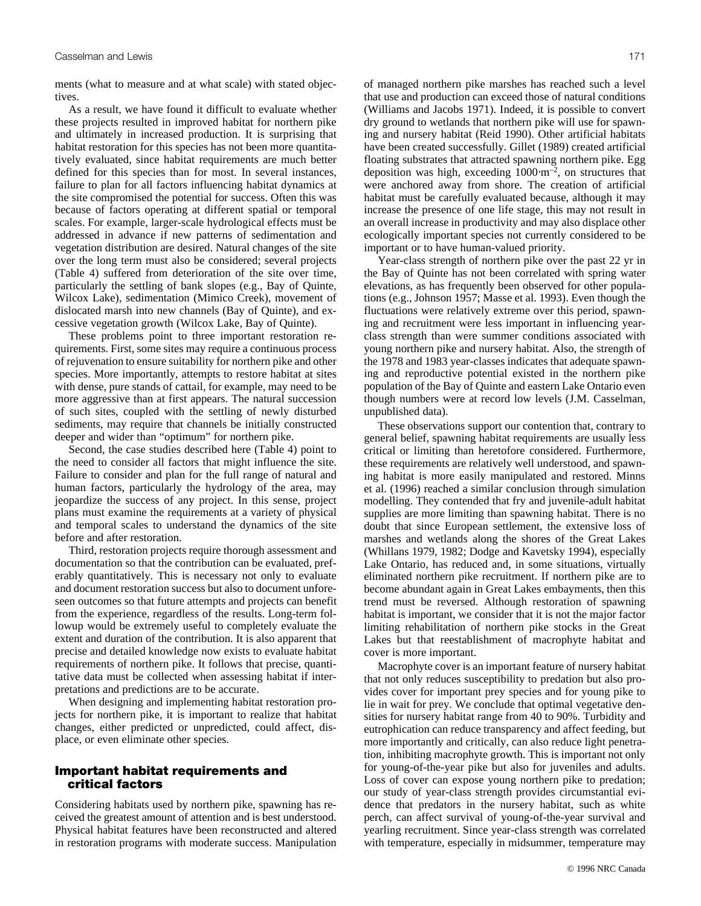ments (what to measure and at what scale) with stated objectives.

As a result, we have found it difficult to evaluate whether these projects resulted in improved habitat for northern pike and ultimately in increased production. It is surprising that habitat restoration for this species has not been more quantitatively evaluated, since habitat requirements are much better defined for this species than for most. In several instances, failure to plan for all factors influencing habitat dynamics at the site compromised the potential for success. Often this was because of factors operating at different spatial or temporal scales. For example, larger-scale hydrological effects must be addressed in advance if new patterns of sedimentation and vegetation distribution are desired. Natural changes of the site over the long term must also be considered; several projects (Table 4) suffered from deterioration of the site over time, particularly the settling of bank slopes (e.g., Bay of Quinte, Wilcox Lake), sedimentation (Mimico Creek), movement of dislocated marsh into new channels (Bay of Quinte), and excessive vegetation growth (Wilcox Lake, Bay of Quinte).

These problems point to three important restoration requirements. First, some sites may require a continuous process of rejuvenation to ensure suitability for northern pike and other species. More importantly, attempts to restore habitat at sites with dense, pure stands of cattail, for example, may need to be more aggressive than at first appears. The natural succession of such sites, coupled with the settling of newly disturbed sediments, may require that channels be initially constructed deeper and wider than "optimum" for northern pike.

Second, the case studies described here (Table 4) point to the need to consider all factors that might influence the site. Failure to consider and plan for the full range of natural and human factors, particularly the hydrology of the area, may jeopardize the success of any project. In this sense, project plans must examine the requirements at a variety of physical and temporal scales to understand the dynamics of the site before and after restoration.

Third, restoration projects require thorough assessment and documentation so that the contribution can be evaluated, preferably quantitatively. This is necessary not only to evaluate and document restoration success but also to document unforeseen outcomes so that future attempts and projects can benefit from the experience, regardless of the results. Long-term followup would be extremely useful to completely evaluate the extent and duration of the contribution. It is also apparent that precise and detailed knowledge now exists to evaluate habitat requirements of northern pike. It follows that precise, quantitative data must be collected when assessing habitat if interpretations and predictions are to be accurate.

When designing and implementing habitat restoration projects for northern pike, it is important to realize that habitat changes, either predicted or unpredicted, could affect, displace, or even eliminate other species.

# **Important habitat requirements and critical factors**

Considering habitats used by northern pike, spawning has received the greatest amount of attention and is best understood. Physical habitat features have been reconstructed and altered in restoration programs with moderate success. Manipulation of managed northern pike marshes has reached such a level that use and production can exceed those of natural conditions (Williams and Jacobs 1971). Indeed, it is possible to convert dry ground to wetlands that northern pike will use for spawning and nursery habitat (Reid 1990). Other artificial habitats have been created successfully. Gillet (1989) created artificial floating substrates that attracted spawning northern pike. Egg deposition was high, exceeding  $1000·m<sup>-2</sup>$ , on structures that were anchored away from shore. The creation of artificial habitat must be carefully evaluated because, although it may increase the presence of one life stage, this may not result in an overall increase in productivity and may also displace other ecologically important species not currently considered to be important or to have human-valued priority.

Year-class strength of northern pike over the past 22 yr in the Bay of Quinte has not been correlated with spring water elevations, as has frequently been observed for other populations (e.g., Johnson 1957; Masse et al. 1993). Even though the fluctuations were relatively extreme over this period, spawning and recruitment were less important in influencing yearclass strength than were summer conditions associated with young northern pike and nursery habitat. Also, the strength of the 1978 and 1983 year-classes indicates that adequate spawning and reproductive potential existed in the northern pike population of the Bay of Quinte and eastern Lake Ontario even though numbers were at record low levels (J.M. Casselman, unpublished data).

These observations support our contention that, contrary to general belief, spawning habitat requirements are usually less critical or limiting than heretofore considered. Furthermore, these requirements are relatively well understood, and spawning habitat is more easily manipulated and restored. Minns et al. (1996) reached a similar conclusion through simulation modelling. They contended that fry and juvenile-adult habitat supplies are more limiting than spawning habitat. There is no doubt that since European settlement, the extensive loss of marshes and wetlands along the shores of the Great Lakes (Whillans 1979, 1982; Dodge and Kavetsky 1994), especially Lake Ontario, has reduced and, in some situations, virtually eliminated northern pike recruitment. If northern pike are to become abundant again in Great Lakes embayments, then this trend must be reversed. Although restoration of spawning habitat is important, we consider that it is not the major factor limiting rehabilitation of northern pike stocks in the Great Lakes but that reestablishment of macrophyte habitat and cover is more important.

Macrophyte cover is an important feature of nursery habitat that not only reduces susceptibility to predation but also provides cover for important prey species and for young pike to lie in wait for prey. We conclude that optimal vegetative densities for nursery habitat range from 40 to 90%. Turbidity and eutrophication can reduce transparency and affect feeding, but more importantly and critically, can also reduce light penetration, inhibiting macrophyte growth. This is important not only for young-of-the-year pike but also for juveniles and adults. Loss of cover can expose young northern pike to predation; our study of year-class strength provides circumstantial evidence that predators in the nursery habitat, such as white perch, can affect survival of young-of-the-year survival and yearling recruitment. Since year-class strength was correlated with temperature, especially in midsummer, temperature may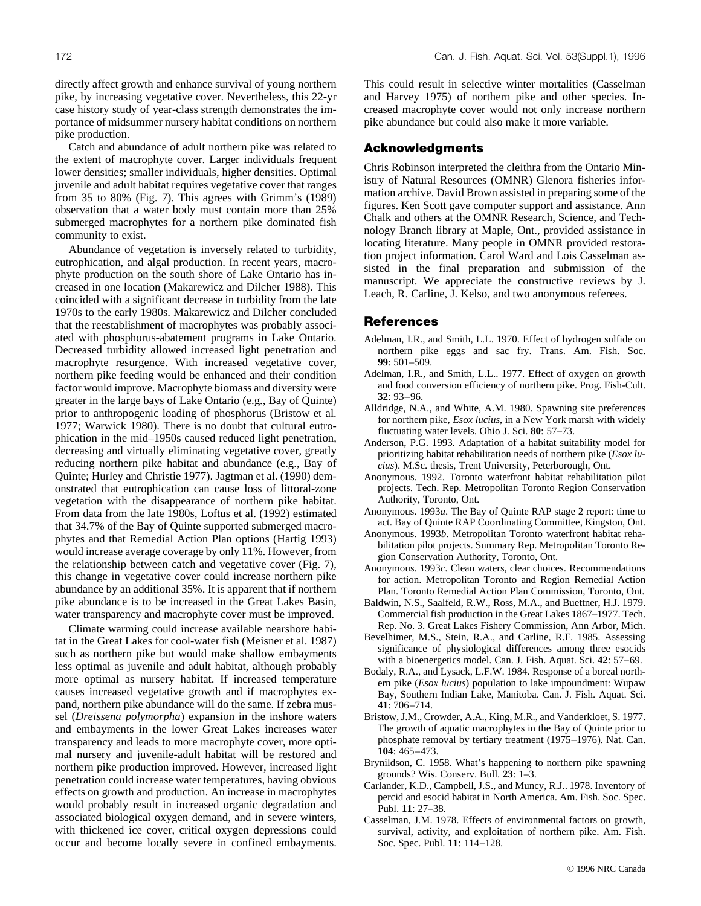directly affect growth and enhance survival of young northern pike, by increasing vegetative cover. Nevertheless, this 22-yr case history study of year-class strength demonstrates the importance of midsummer nursery habitat conditions on northern pike production.

Catch and abundance of adult northern pike was related to the extent of macrophyte cover. Larger individuals frequent lower densities; smaller individuals, higher densities. Optimal juvenile and adult habitat requires vegetative cover that ranges from 35 to 80% (Fig. 7). This agrees with Grimm's (1989) observation that a water body must contain more than 25% submerged macrophytes for a northern pike dominated fish community to exist.

Abundance of vegetation is inversely related to turbidity, eutrophication, and algal production. In recent years, macrophyte production on the south shore of Lake Ontario has increased in one location (Makarewicz and Dilcher 1988). This coincided with a significant decrease in turbidity from the late 1970s to the early 1980s. Makarewicz and Dilcher concluded that the reestablishment of macrophytes was probably associated with phosphorus-abatement programs in Lake Ontario. Decreased turbidity allowed increased light penetration and macrophyte resurgence. With increased vegetative cover, northern pike feeding would be enhanced and their condition factor would improve. Macrophyte biomass and diversity were greater in the large bays of Lake Ontario (e.g., Bay of Quinte) prior to anthropogenic loading of phosphorus (Bristow et al. 1977; Warwick 1980). There is no doubt that cultural eutrophication in the mid–1950s caused reduced light penetration, decreasing and virtually eliminating vegetative cover, greatly reducing northern pike habitat and abundance (e.g., Bay of Quinte; Hurley and Christie 1977). Jagtman et al. (1990) demonstrated that eutrophication can cause loss of littoral-zone vegetation with the disappearance of northern pike habitat. From data from the late 1980s, Loftus et al. (1992) estimated that 34.7% of the Bay of Quinte supported submerged macrophytes and that Remedial Action Plan options (Hartig 1993) would increase average coverage by only 11%. However, from the relationship between catch and vegetative cover (Fig. 7), this change in vegetative cover could increase northern pike abundance by an additional 35%. It is apparent that if northern pike abundance is to be increased in the Great Lakes Basin, water transparency and macrophyte cover must be improved.

Climate warming could increase available nearshore habitat in the Great Lakes for cool-water fish (Meisner et al. 1987) such as northern pike but would make shallow embayments less optimal as juvenile and adult habitat, although probably more optimal as nursery habitat. If increased temperature causes increased vegetative growth and if macrophytes expand, northern pike abundance will do the same. If zebra mussel (*Dreissena polymorpha*) expansion in the inshore waters and embayments in the lower Great Lakes increases water transparency and leads to more macrophyte cover, more optimal nursery and juvenile-adult habitat will be restored and northern pike production improved. However, increased light penetration could increase water temperatures, having obvious effects on growth and production. An increase in macrophytes would probably result in increased organic degradation and associated biological oxygen demand, and in severe winters, with thickened ice cover, critical oxygen depressions could occur and become locally severe in confined embayments.

This could result in selective winter mortalities (Casselman and Harvey 1975) of northern pike and other species. Increased macrophyte cover would not only increase northern pike abundance but could also make it more variable.

## **Acknowledgments**

Chris Robinson interpreted the cleithra from the Ontario Ministry of Natural Resources (OMNR) Glenora fisheries information archive. David Brown assisted in preparing some of the figures. Ken Scott gave computer support and assistance. Ann Chalk and others at the OMNR Research, Science, and Technology Branch library at Maple, Ont., provided assistance in locating literature. Many people in OMNR provided restoration project information. Carol Ward and Lois Casselman assisted in the final preparation and submission of the manuscript. We appreciate the constructive reviews by J. Leach, R. Carline, J. Kelso, and two anonymous referees.

## **References**

- Adelman, I.R., and Smith, L.L. 1970. Effect of hydrogen sulfide on northern pike eggs and sac fry. Trans. Am. Fish. Soc. **99**: 501–509.
- Adelman, I.R., and Smith, L.L.. 1977. Effect of oxygen on growth and food conversion efficiency of northern pike. Prog. Fish-Cult. **32**: 93–96.
- Alldridge, N.A., and White, A.M. 1980. Spawning site preferences for northern pike, *Esox lucius*, in a New York marsh with widely fluctuating water levels. Ohio J. Sci. **80**: 57–73.
- Anderson, P.G. 1993. Adaptation of a habitat suitability model for prioritizing habitat rehabilitation needs of northern pike (*Esox lucius*). M.Sc. thesis, Trent University, Peterborough, Ont.
- Anonymous. 1992. Toronto waterfront habitat rehabilitation pilot projects. Tech. Rep. Metropolitan Toronto Region Conservation Authority, Toronto, Ont.
- Anonymous. 1993*a*. The Bay of Quinte RAP stage 2 report: time to act. Bay of Quinte RAP Coordinating Committee, Kingston, Ont.
- Anonymous. 1993*b*. Metropolitan Toronto waterfront habitat rehabilitation pilot projects. Summary Rep. Metropolitan Toronto Region Conservation Authority, Toronto, Ont.
- Anonymous. 1993*c*. Clean waters, clear choices. Recommendations for action. Metropolitan Toronto and Region Remedial Action Plan. Toronto Remedial Action Plan Commission, Toronto, Ont.
- Baldwin, N.S., Saalfeld, R.W., Ross, M.A., and Buettner, H.J. 1979. Commercial fish production in the Great Lakes 1867–1977. Tech. Rep. No. 3. Great Lakes Fishery Commission, Ann Arbor, Mich.
- Bevelhimer, M.S., Stein, R.A., and Carline, R.F. 1985. Assessing significance of physiological differences among three esocids with a bioenergetics model. Can. J. Fish. Aquat. Sci. **42**: 57–69.
- Bodaly, R.A., and Lysack, L.F.W. 1984. Response of a boreal northern pike (*Esox lucius*) population to lake impoundment: Wupaw Bay, Southern Indian Lake, Manitoba. Can. J. Fish. Aquat. Sci. **41**: 706–714.
- Bristow, J.M., Crowder, A.A., King, M.R., and Vanderkloet, S. 1977. The growth of aquatic macrophytes in the Bay of Quinte prior to phosphate removal by tertiary treatment (1975–1976). Nat. Can. **104**: 465–473.
- Brynildson, C. 1958. What's happening to northern pike spawning grounds? Wis. Conserv. Bull. **23**: 1–3.
- Carlander, K.D., Campbell, J.S., and Muncy, R.J.. 1978. Inventory of percid and esocid habitat in North America. Am. Fish. Soc. Spec. Publ. **11**: 27–38.
- Casselman, J.M. 1978. Effects of environmental factors on growth, survival, activity, and exploitation of northern pike. Am. Fish. Soc. Spec. Publ. **11**: 114–128.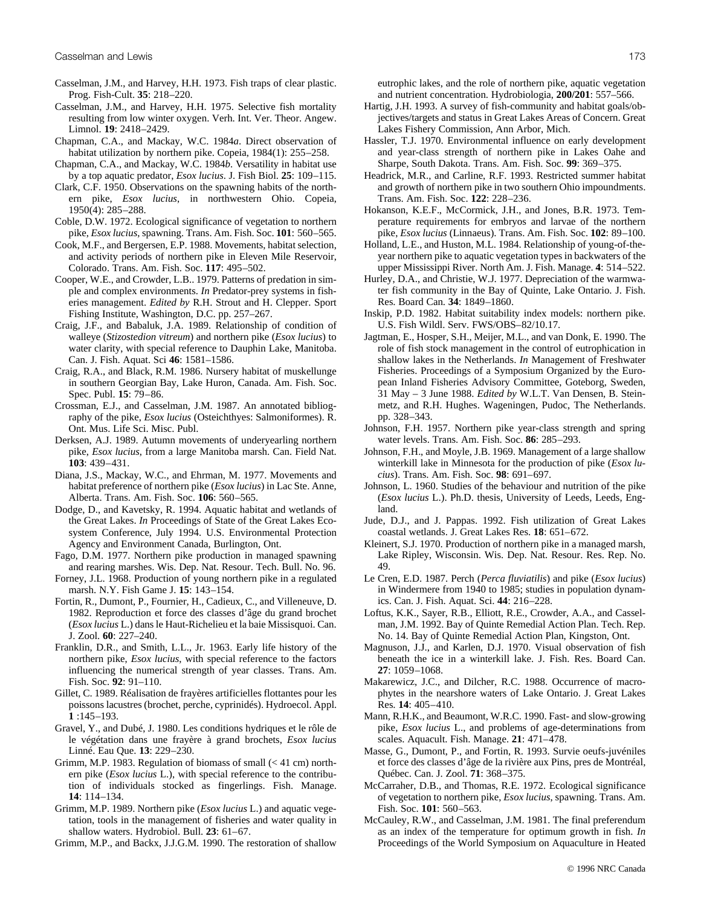- Casselman, J.M., and Harvey, H.H. 1973. Fish traps of clear plastic. Prog. Fish-Cult. **35**: 218–220.
- Casselman, J.M., and Harvey, H.H. 1975. Selective fish mortality resulting from low winter oxygen. Verh. Int. Ver. Theor. Angew. Limnol. **19**: 2418–2429.
- Chapman, C.A., and Mackay, W.C. 1984*a*. Direct observation of habitat utilization by northern pike. Copeia, 1984(1): 255–258.
- Chapman, C.A., and Mackay, W.C. 1984*b*. Versatility in habitat use by a top aquatic predator, *Esox lucius*. J. Fish Biol. **25**: 109–115.
- Clark, C.F. 1950. Observations on the spawning habits of the northern pike, *Esox lucius*, in northwestern Ohio. Copeia, 1950(4): 285–288.
- Coble, D.W. 1972. Ecological significance of vegetation to northern pike, *Esox lucius*, spawning. Trans. Am. Fish. Soc. **101**: 560–565.
- Cook, M.F., and Bergersen, E.P. 1988. Movements, habitat selection, and activity periods of northern pike in Eleven Mile Reservoir, Colorado. Trans. Am. Fish. Soc. **117**: 495–502.
- Cooper, W.E., and Crowder, L.B.. 1979. Patterns of predation in simple and complex environments. *In* Predator-prey systems in fisheries management. *Edited by* R.H. Strout and H. Clepper. Sport Fishing Institute, Washington, D.C. pp. 257–267.
- Craig, J.F., and Babaluk, J.A. 1989. Relationship of condition of walleye (*Stizostedion vitreum*) and northern pike (*Esox lucius*) to water clarity, with special reference to Dauphin Lake, Manitoba. Can. J. Fish. Aquat. Sci **46**: 1581–1586.
- Craig, R.A., and Black, R.M. 1986. Nursery habitat of muskellunge in southern Georgian Bay, Lake Huron, Canada. Am. Fish. Soc. Spec. Publ. **15**: 79–86.
- Crossman, E.J., and Casselman, J.M. 1987. An annotated bibliography of the pike, *Esox lucius* (Osteichthyes: Salmoniformes). R. Ont. Mus. Life Sci. Misc. Publ.
- Derksen, A.J. 1989. Autumn movements of underyearling northern pike, *Esox lucius*, from a large Manitoba marsh. Can. Field Nat. **103**: 439–431.
- Diana, J.S., Mackay, W.C., and Ehrman, M. 1977. Movements and habitat preference of northern pike (*Esox lucius*) in Lac Ste. Anne, Alberta. Trans. Am. Fish. Soc. **106**: 560–565.
- Dodge, D., and Kavetsky, R. 1994. Aquatic habitat and wetlands of the Great Lakes. *In* Proceedings of State of the Great Lakes Ecosystem Conference, July 1994. U.S. Environmental Protection Agency and Environment Canada, Burlington, Ont.
- Fago, D.M. 1977. Northern pike production in managed spawning and rearing marshes. Wis. Dep. Nat. Resour. Tech. Bull. No. 96.
- Forney, J.L. 1968. Production of young northern pike in a regulated marsh. N.Y. Fish Game J. **15**: 143–154.
- Fortin, R., Dumont, P., Fournier, H., Cadieux, C., and Villeneuve, D. 1982. Reproduction et force des classes d'âge du grand brochet (*Esox lucius* L.) dans le Haut-Richelieu et la baie Missisquoi. Can. J. Zool. **60**: 227–240.
- Franklin, D.R., and Smith, L.L., Jr. 1963. Early life history of the northern pike, *Esox lucius*, with special reference to the factors influencing the numerical strength of year classes. Trans. Am. Fish. Soc. **92**: 91–110.
- Gillet, C. 1989. Réalisation de frayères artificielles flottantes pour les poissons lacustres (brochet, perche, cyprinidés). Hydroecol. Appl. **1** :145–193.
- Gravel, Y., and Dubé, J. 1980. Les conditions hydriques et le rôle de le végétation dans une frayère à grand brochets, *Esox lucius* Linné. Eau Que. **13**: 229–230.
- Grimm, M.P. 1983. Regulation of biomass of small (< 41 cm) northern pike (*Esox lucius* L.), with special reference to the contribution of individuals stocked as fingerlings. Fish. Manage. **14**: 114–134.
- Grimm, M.P. 1989. Northern pike (*Esox lucius* L.) and aquatic vegetation, tools in the management of fisheries and water quality in shallow waters. Hydrobiol. Bull. **23**: 61–67.

Grimm, M.P., and Backx, J.J.G.M. 1990. The restoration of shallow

eutrophic lakes, and the role of northern pike, aquatic vegetation and nutrient concentration. Hydrobiologia, **200/201**: 557–566.

- Hartig, J.H. 1993. A survey of fish-community and habitat goals/objectives/targets and status in Great Lakes Areas of Concern. Great Lakes Fishery Commission, Ann Arbor, Mich.
- Hassler, T.J. 1970. Environmental influence on early development and year-class strength of northern pike in Lakes Oahe and Sharpe, South Dakota. Trans. Am. Fish. Soc. **99**: 369–375.
- Headrick, M.R., and Carline, R.F. 1993. Restricted summer habitat and growth of northern pike in two southern Ohio impoundments. Trans. Am. Fish. Soc. **122**: 228–236.
- Hokanson, K.E.F., McCormick, J.H., and Jones, B.R. 1973. Temperature requirements for embryos and larvae of the northern pike, *Esox lucius* (Linnaeus). Trans. Am. Fish. Soc. **102**: 89–100.
- Holland, L.E., and Huston, M.L. 1984. Relationship of young-of-theyear northern pike to aquatic vegetation types in backwaters of the upper Mississippi River. North Am. J. Fish. Manage. **4**: 514–522.
- Hurley, D.A., and Christie, W.J. 1977. Depreciation of the warmwater fish community in the Bay of Quinte, Lake Ontario. J. Fish. Res. Board Can. **34**: 1849–1860.
- Inskip, P.D. 1982. Habitat suitability index models: northern pike. U.S. Fish Wildl. Serv. FWS/OBS–82/10.17.
- Jagtman, E., Hosper, S.H., Meijer, M.L., and van Donk, E. 1990. The role of fish stock management in the control of eutrophication in shallow lakes in the Netherlands. *In* Management of Freshwater Fisheries. Proceedings of a Symposium Organized by the European Inland Fisheries Advisory Committee, Goteborg, Sweden, 31 May – 3 June 1988. *Edited by* W.L.T. Van Densen, B. Steinmetz, and R.H. Hughes. Wageningen, Pudoc, The Netherlands. pp. 328–343.
- Johnson, F.H. 1957. Northern pike year-class strength and spring water levels. Trans. Am. Fish. Soc. **86**: 285–293.
- Johnson, F.H., and Moyle, J.B. 1969. Management of a large shallow winterkill lake in Minnesota for the production of pike (*Esox lucius*). Trans. Am. Fish. Soc. **98**: 691–697.
- Johnson, L. 1960. Studies of the behaviour and nutrition of the pike (*Esox lucius* L.). Ph.D. thesis, University of Leeds, Leeds, England.
- Jude, D.J., and J. Pappas. 1992. Fish utilization of Great Lakes coastal wetlands. J. Great Lakes Res. **18**: 651–672.
- Kleinert, S.J. 1970. Production of northern pike in a managed marsh, Lake Ripley, Wisconsin. Wis. Dep. Nat. Resour. Res. Rep. No. 49.
- Le Cren, E.D. 1987. Perch (*Perca fluviatilis*) and pike (*Esox lucius*) in Windermere from 1940 to 1985; studies in population dynamics. Can. J. Fish. Aquat. Sci. **44**: 216–228.
- Loftus, K.K., Sayer, R.B., Elliott, R.E., Crowder, A.A., and Casselman, J.M. 1992. Bay of Quinte Remedial Action Plan. Tech. Rep. No. 14. Bay of Quinte Remedial Action Plan, Kingston, Ont.
- Magnuson, J.J., and Karlen, D.J. 1970. Visual observation of fish beneath the ice in a winterkill lake. J. Fish. Res. Board Can. **27**: 1059–1068.
- Makarewicz, J.C., and Dilcher, R.C. 1988. Occurrence of macrophytes in the nearshore waters of Lake Ontario. J. Great Lakes Res. **14**: 405–410.
- Mann, R.H.K., and Beaumont, W.R.C. 1990. Fast- and slow-growing pike, *Esox lucius* L., and problems of age-determinations from scales. Aquacult. Fish. Manage. **21**: 471–478.
- Masse, G., Dumont, P., and Fortin, R. 1993. Survie oeufs-juvéniles et force des classes d'âge de la rivière aux Pins, pres de Montréal, Québec. Can. J. Zool. **71**: 368–375.
- McCarraher, D.B., and Thomas, R.E. 1972. Ecological significance of vegetation to northern pike, *Esox lucius*, spawning. Trans. Am. Fish. Soc. **101**: 560–563.
- McCauley, R.W., and Casselman, J.M. 1981. The final preferendum as an index of the temperature for optimum growth in fish. *In* Proceedings of the World Symposium on Aquaculture in Heated